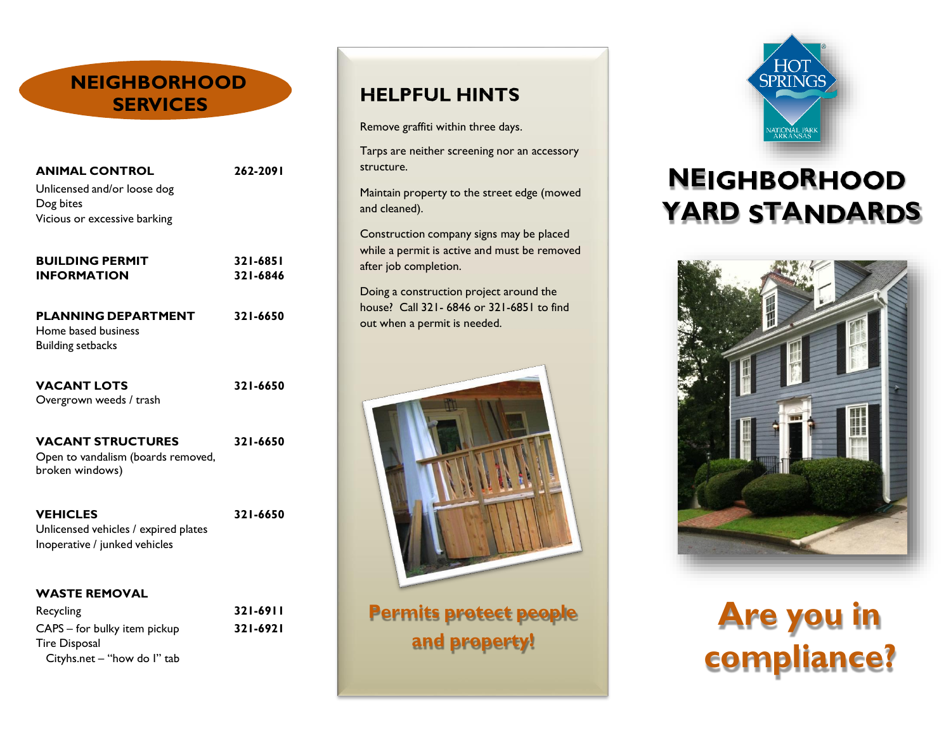### **NEIGHBORHOOD SERVICES**

| <b>ANIMAL CONTROL</b><br>Unlicensed and/or loose dog<br>Dog bites<br>Vicious or excessive barking | 262-2091 |                        |          |
|---------------------------------------------------------------------------------------------------|----------|------------------------|----------|
|                                                                                                   |          | <b>BUILDING PERMIT</b> | 321-6851 |
|                                                                                                   |          | <b>INFORMATION</b>     | 321-6846 |

**PLANNING DEPARTMENT 321-6650** Home based business Building setbacks

**VACANT LOTS 321-6650** Overgrown weeds / trash

**VACANT STRUCTURES 321-6650** Open to vandalism (boards removed,

broken windows)

**VEHICLES 321-6650**

Unlicensed vehicles / expired plates Inoperative / junked vehicles

#### **WASTE REMOVAL**

Recycling **321-6911** CAPS – for bulky item pickup **321-6921** Tire Disposal Cityhs.net – "how do I" tab

### **HELPFUL HINTS**

Remove graffiti within three days.

Tarps are neither screening nor an accessory structure.

Maintain property to the street edge (mowed and cleaned).

Construction company signs may be placed while a permit is active and must be removed after job completion.

Doing a construction project around the house? Call 321- 6846 or 321-6851 to find out when a permit is needed.



**Permits protect people and property!**



### **NEIGHBORHOOD YARD STANDARDS**



## **Are you in compliance?**